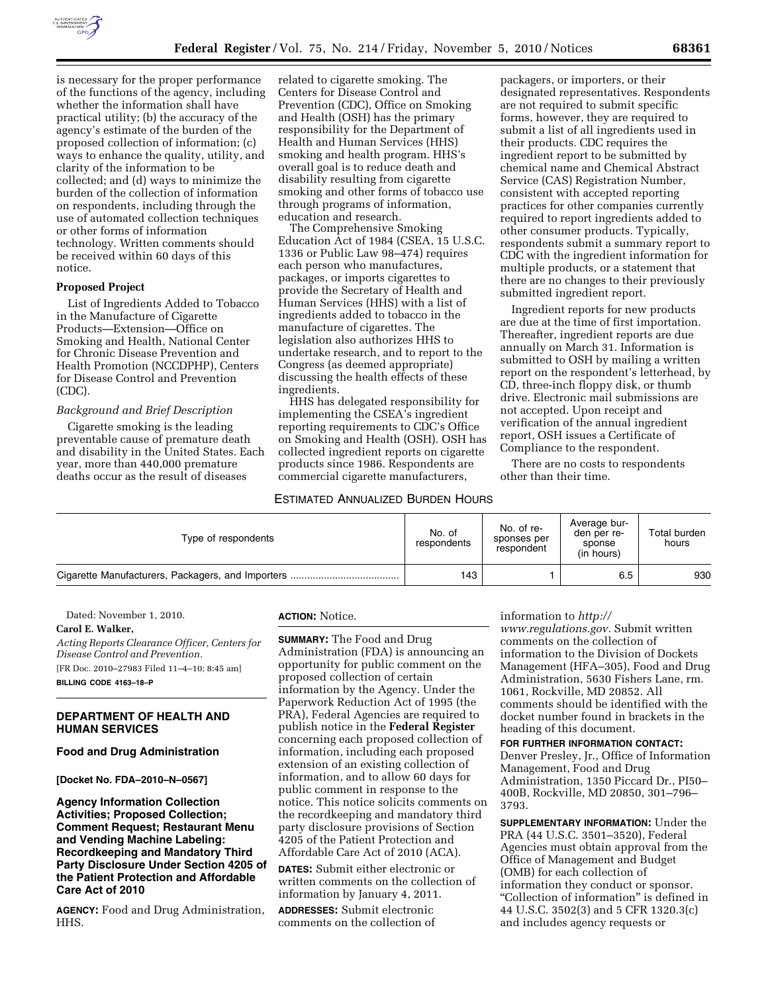

is necessary for the proper performance of the functions of the agency, including whether the information shall have practical utility; (b) the accuracy of the agency's estimate of the burden of the proposed collection of information; (c) ways to enhance the quality, utility, and clarity of the information to be collected; and (d) ways to minimize the burden of the collection of information on respondents, including through the use of automated collection techniques or other forms of information technology. Written comments should be received within 60 days of this notice.

## **Proposed Project**

List of Ingredients Added to Tobacco in the Manufacture of Cigarette Products—Extension—Office on Smoking and Health, National Center for Chronic Disease Prevention and Health Promotion (NCCDPHP), Centers for Disease Control and Prevention (CDC).

## *Background and Brief Description*

Cigarette smoking is the leading preventable cause of premature death and disability in the United States. Each year, more than 440,000 premature deaths occur as the result of diseases

related to cigarette smoking. The Centers for Disease Control and Prevention (CDC), Office on Smoking and Health (OSH) has the primary responsibility for the Department of Health and Human Services (HHS) smoking and health program. HHS's overall goal is to reduce death and disability resulting from cigarette smoking and other forms of tobacco use through programs of information, education and research.

The Comprehensive Smoking Education Act of 1984 (CSEA, 15 U.S.C. 1336 or Public Law 98–474) requires each person who manufactures, packages, or imports cigarettes to provide the Secretary of Health and Human Services (HHS) with a list of ingredients added to tobacco in the manufacture of cigarettes. The legislation also authorizes HHS to undertake research, and to report to the Congress (as deemed appropriate) discussing the health effects of these ingredients.

HHS has delegated responsibility for implementing the CSEA's ingredient reporting requirements to CDC's Office on Smoking and Health (OSH). OSH has collected ingredient reports on cigarette products since 1986. Respondents are commercial cigarette manufacturers,

### ESTIMATED ANNUALIZED BURDEN HOURS

packagers, or importers, or their designated representatives. Respondents are not required to submit specific forms, however, they are required to submit a list of all ingredients used in their products. CDC requires the ingredient report to be submitted by chemical name and Chemical Abstract Service (CAS) Registration Number, consistent with accepted reporting practices for other companies currently required to report ingredients added to other consumer products. Typically, respondents submit a summary report to CDC with the ingredient information for multiple products, or a statement that there are no changes to their previously submitted ingredient report.

Ingredient reports for new products are due at the time of first importation. Thereafter, ingredient reports are due annually on March 31. Information is submitted to OSH by mailing a written report on the respondent's letterhead, by CD, three-inch floppy disk, or thumb drive. Electronic mail submissions are not accepted. Upon receipt and verification of the annual ingredient report, OSH issues a Certificate of Compliance to the respondent.

There are no costs to respondents other than their time.

| Type of respondents | No. of<br>respondents | No. of re-<br>sponses per<br>respondent | Average bur-<br>den per re-<br>sponse<br>(in hours) | Total burden<br>hours |
|---------------------|-----------------------|-----------------------------------------|-----------------------------------------------------|-----------------------|
|                     | 143                   |                                         | 6.5                                                 | 930                   |

Dated: November 1, 2010.

## **Carol E. Walker,**

*Acting Reports Clearance Officer, Centers for Disease Control and Prevention.* 

[FR Doc. 2010–27983 Filed 11–4–10; 8:45 am] **BILLING CODE 4163–18–P** 

# **DEPARTMENT OF HEALTH AND HUMAN SERVICES**

#### **Food and Drug Administration**

#### **[Docket No. FDA–2010–N–0567]**

**Agency Information Collection Activities; Proposed Collection; Comment Request; Restaurant Menu and Vending Machine Labeling: Recordkeeping and Mandatory Third Party Disclosure Under Section 4205 of the Patient Protection and Affordable Care Act of 2010** 

**AGENCY:** Food and Drug Administration, HHS.

**ACTION:** Notice.

**SUMMARY:** The Food and Drug Administration (FDA) is announcing an opportunity for public comment on the proposed collection of certain information by the Agency. Under the Paperwork Reduction Act of 1995 (the PRA), Federal Agencies are required to publish notice in the **Federal Register**  concerning each proposed collection of information, including each proposed extension of an existing collection of information, and to allow 60 days for public comment in response to the notice. This notice solicits comments on the recordkeeping and mandatory third party disclosure provisions of Section 4205 of the Patient Protection and Affordable Care Act of 2010 (ACA).

**DATES:** Submit either electronic or written comments on the collection of information by January 4, 2011.

**ADDRESSES:** Submit electronic comments on the collection of

#### information to *[http://](http://www.regulations.gov)*

*[www.regulations.gov.](http://www.regulations.gov)* Submit written comments on the collection of information to the Division of Dockets Management (HFA–305), Food and Drug Administration, 5630 Fishers Lane, rm. 1061, Rockville, MD 20852. All comments should be identified with the docket number found in brackets in the heading of this document.

**FOR FURTHER INFORMATION CONTACT:**  Denver Presley, Jr., Office of Information Management, Food and Drug Administration, 1350 Piccard Dr., PI50– 400B, Rockville, MD 20850, 301–796– 3793.

**SUPPLEMENTARY INFORMATION:** Under the PRA (44 U.S.C. 3501–3520), Federal Agencies must obtain approval from the Office of Management and Budget (OMB) for each collection of information they conduct or sponsor. ''Collection of information'' is defined in 44 U.S.C. 3502(3) and 5 CFR 1320.3(c) and includes agency requests or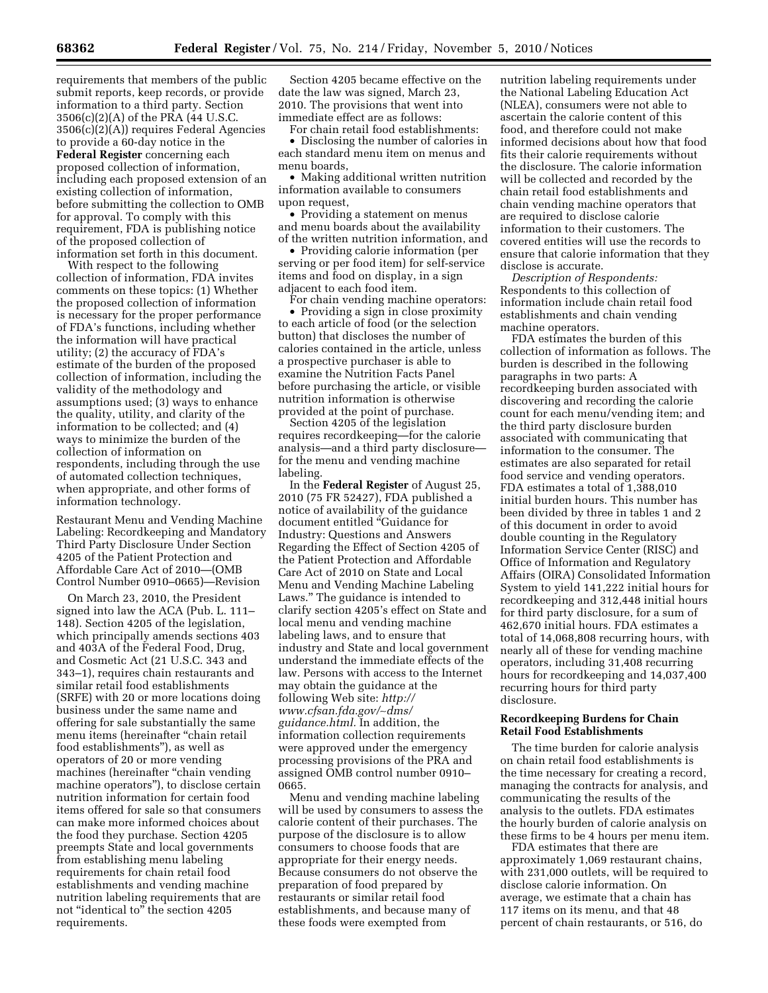requirements that members of the public submit reports, keep records, or provide information to a third party. Section 3506(c)(2)(A) of the PRA (44 U.S.C. 3506(c)(2)(A)) requires Federal Agencies to provide a 60-day notice in the **Federal Register** concerning each proposed collection of information, including each proposed extension of an

existing collection of information, before submitting the collection to OMB for approval. To comply with this requirement, FDA is publishing notice of the proposed collection of information set forth in this document.

With respect to the following collection of information, FDA invites comments on these topics: (1) Whether the proposed collection of information is necessary for the proper performance of FDA's functions, including whether the information will have practical utility; (2) the accuracy of FDA's estimate of the burden of the proposed collection of information, including the validity of the methodology and assumptions used; (3) ways to enhance the quality, utility, and clarity of the information to be collected; and (4) ways to minimize the burden of the collection of information on respondents, including through the use of automated collection techniques, when appropriate, and other forms of information technology.

Restaurant Menu and Vending Machine Labeling: Recordkeeping and Mandatory Third Party Disclosure Under Section 4205 of the Patient Protection and Affordable Care Act of 2010—(OMB Control Number 0910–0665)—Revision

On March 23, 2010, the President signed into law the ACA (Pub. L. 111– 148). Section 4205 of the legislation, which principally amends sections 403 and 403A of the Federal Food, Drug, and Cosmetic Act (21 U.S.C. 343 and 343–1), requires chain restaurants and similar retail food establishments (SRFE) with 20 or more locations doing business under the same name and offering for sale substantially the same menu items (hereinafter ''chain retail food establishments''), as well as operators of 20 or more vending machines (hereinafter "chain vending machine operators''), to disclose certain nutrition information for certain food items offered for sale so that consumers can make more informed choices about the food they purchase. Section 4205 preempts State and local governments from establishing menu labeling requirements for chain retail food establishments and vending machine nutrition labeling requirements that are not ''identical to'' the section 4205 requirements.

Section 4205 became effective on the date the law was signed, March 23, 2010. The provisions that went into immediate effect are as follows:

For chain retail food establishments: • Disclosing the number of calories in each standard menu item on menus and menu boards,

• Making additional written nutrition information available to consumers upon request,

• Providing a statement on menus and menu boards about the availability of the written nutrition information, and

• Providing calorie information (per serving or per food item) for self-service items and food on display, in a sign adjacent to each food item.

For chain vending machine operators: • Providing a sign in close proximity to each article of food (or the selection button) that discloses the number of calories contained in the article, unless a prospective purchaser is able to examine the Nutrition Facts Panel before purchasing the article, or visible nutrition information is otherwise provided at the point of purchase.

Section 4205 of the legislation requires recordkeeping—for the calorie analysis—and a third party disclosure for the menu and vending machine labeling.

In the **Federal Register** of August 25, 2010 (75 FR 52427), FDA published a notice of availability of the guidance document entitled ''Guidance for Industry: Questions and Answers Regarding the Effect of Section 4205 of the Patient Protection and Affordable Care Act of 2010 on State and Local Menu and Vending Machine Labeling Laws.'' The guidance is intended to clarify section 4205's effect on State and local menu and vending machine labeling laws, and to ensure that industry and State and local government understand the immediate effects of the law. Persons with access to the Internet may obtain the guidance at the following Web site: *[http://](http://www.cfsan.fda.gov/~dms/guidance.html)  [www.cfsan.fda.gov/](http://www.cfsan.fda.gov/~dms/guidance.html)*∼*dms/ [guidance.html.](http://www.cfsan.fda.gov/~dms/guidance.html)* In addition, the information collection requirements were approved under the emergency processing provisions of the PRA and assigned OMB control number 0910– 0665.

Menu and vending machine labeling will be used by consumers to assess the calorie content of their purchases. The purpose of the disclosure is to allow consumers to choose foods that are appropriate for their energy needs. Because consumers do not observe the preparation of food prepared by restaurants or similar retail food establishments, and because many of these foods were exempted from

nutrition labeling requirements under the National Labeling Education Act (NLEA), consumers were not able to ascertain the calorie content of this food, and therefore could not make informed decisions about how that food fits their calorie requirements without the disclosure. The calorie information will be collected and recorded by the chain retail food establishments and chain vending machine operators that are required to disclose calorie information to their customers. The covered entities will use the records to ensure that calorie information that they disclose is accurate.

*Description of Respondents:*  Respondents to this collection of information include chain retail food establishments and chain vending machine operators.

FDA estimates the burden of this collection of information as follows. The burden is described in the following paragraphs in two parts: A recordkeeping burden associated with discovering and recording the calorie count for each menu/vending item; and the third party disclosure burden associated with communicating that information to the consumer. The estimates are also separated for retail food service and vending operators. FDA estimates a total of 1,388,010 initial burden hours. This number has been divided by three in tables 1 and 2 of this document in order to avoid double counting in the Regulatory Information Service Center (RISC) and Office of Information and Regulatory Affairs (OIRA) Consolidated Information System to yield 141,222 initial hours for recordkeeping and 312,448 initial hours for third party disclosure, for a sum of 462,670 initial hours. FDA estimates a total of 14,068,808 recurring hours, with nearly all of these for vending machine operators, including 31,408 recurring hours for recordkeeping and 14,037,400 recurring hours for third party disclosure.

## **Recordkeeping Burdens for Chain Retail Food Establishments**

The time burden for calorie analysis on chain retail food establishments is the time necessary for creating a record, managing the contracts for analysis, and communicating the results of the analysis to the outlets. FDA estimates the hourly burden of calorie analysis on these firms to be 4 hours per menu item.

FDA estimates that there are approximately 1,069 restaurant chains, with 231,000 outlets, will be required to disclose calorie information. On average, we estimate that a chain has 117 items on its menu, and that 48 percent of chain restaurants, or 516, do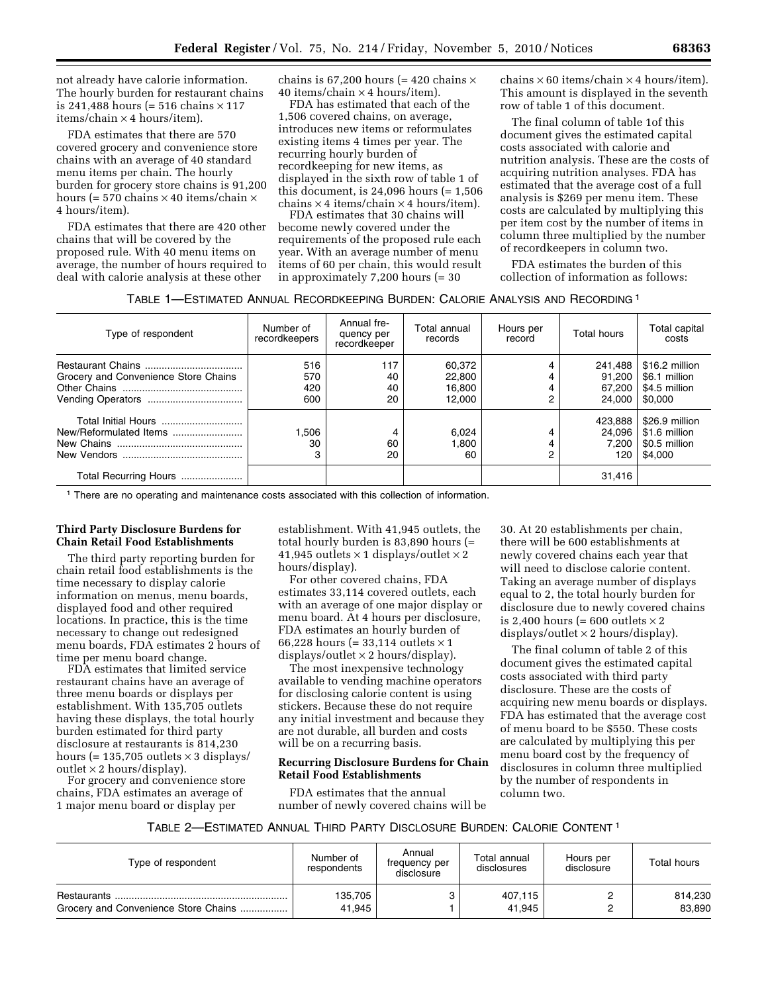not already have calorie information. The hourly burden for restaurant chains is 241,488 hours (=  $516$  chains  $\times$  117 items/chain × 4 hours/item).

FDA estimates that there are 570 covered grocery and convenience store chains with an average of 40 standard menu items per chain. The hourly burden for grocery store chains is 91,200 hours (= 570 chains  $\times$  40 items/chain  $\times$ 4 hours/item).

FDA estimates that there are 420 other chains that will be covered by the proposed rule. With 40 menu items on average, the number of hours required to deal with calorie analysis at these other

chains is 67,200 hours (= 420 chains  $\times$ 40 items/chain  $\times$  4 hours/item).

FDA has estimated that each of the 1,506 covered chains, on average, introduces new items or reformulates existing items 4 times per year. The recurring hourly burden of recordkeeping for new items, as displayed in the sixth row of table 1 of this document, is  $24,096$  hours (=  $1,506$ )  $chains \times 4$  items/ $chain \times 4$  hours/item).

FDA estimates that 30 chains will become newly covered under the requirements of the proposed rule each year. With an average number of menu items of 60 per chain, this would result in approximately 7,200 hours (= 30

 $chains \times 60$  items/ $chain \times 4$  hours/item). This amount is displayed in the seventh row of table 1 of this document.

The final column of table 1of this document gives the estimated capital costs associated with calorie and nutrition analysis. These are the costs of acquiring nutrition analyses. FDA has estimated that the average cost of a full analysis is \$269 per menu item. These costs are calculated by multiplying this per item cost by the number of items in column three multiplied by the number of recordkeepers in column two.

FDA estimates the burden of this collection of information as follows:

|  | Table 1—Estimated Annual Recordkeeping Burden: Calorie Analysis and Recording $^{\rm 1}$ |
|--|------------------------------------------------------------------------------------------|
|--|------------------------------------------------------------------------------------------|

| Type of respondent                            | Number of<br>recordkeepers | Annual fre-<br>quency per<br>recordkeeper | Total annual<br>records              | Hours per<br>record | <b>Total hours</b>                    | Total capital<br>costs                                      |
|-----------------------------------------------|----------------------------|-------------------------------------------|--------------------------------------|---------------------|---------------------------------------|-------------------------------------------------------------|
| Grocery and Convenience Store Chains          | 516<br>570<br>420<br>600   | 117<br>40<br>40<br>20                     | 60,372<br>22,800<br>16,800<br>12.000 | ◠                   | 241,488<br>91.200<br>67.200<br>24.000 | \$16.2 million<br>\$6.1 million<br>\$4.5 million<br>\$0.000 |
| Total Initial Hours<br>New/Reformulated Items | 506. ا<br>30               | 4<br>60<br>20                             | 6.024<br>1,800<br>60                 | 2                   | 423.888<br>24.096<br>7.200<br>120     | \$26.9 million<br>\$1.6 million<br>\$0.5 million<br>\$4.000 |
| Total Recurring Hours                         |                            |                                           |                                      |                     | 31,416                                |                                                             |

1 There are no operating and maintenance costs associated with this collection of information.

# **Third Party Disclosure Burdens for Chain Retail Food Establishments**

The third party reporting burden for chain retail food establishments is the time necessary to display calorie information on menus, menu boards, displayed food and other required locations. In practice, this is the time necessary to change out redesigned menu boards, FDA estimates 2 hours of time per menu board change.

FDA estimates that limited service restaurant chains have an average of three menu boards or displays per establishment. With 135,705 outlets having these displays, the total hourly burden estimated for third party disclosure at restaurants is 814,230 hours (=  $135,705$  outlets  $\times$  3 displays/ outlet  $\times$  2 hours/display).

For grocery and convenience store chains, FDA estimates an average of 1 major menu board or display per

establishment. With 41,945 outlets, the total hourly burden is 83,890 hours (= 41,945 outlets  $\times$  1 displays/outlet  $\times$  2 hours/display).

For other covered chains, FDA estimates 33,114 covered outlets, each with an average of one major display or menu board. At 4 hours per disclosure, FDA estimates an hourly burden of 66,228 hours (= 33,114 outlets  $\times$  1 displays/outlet  $\times$  2 hours/display).

The most inexpensive technology available to vending machine operators for disclosing calorie content is using stickers. Because these do not require any initial investment and because they are not durable, all burden and costs will be on a recurring basis.

#### **Recurring Disclosure Burdens for Chain Retail Food Establishments**

FDA estimates that the annual number of newly covered chains will be

30. At 20 establishments per chain, there will be 600 establishments at newly covered chains each year that will need to disclose calorie content. Taking an average number of displays equal to 2, the total hourly burden for disclosure due to newly covered chains is 2,400 hours (= 600 outlets  $\times$  2 displays/outlet  $\times$  2 hours/display).

The final column of table 2 of this document gives the estimated capital costs associated with third party disclosure. These are the costs of acquiring new menu boards or displays. FDA has estimated that the average cost of menu board to be \$550. These costs are calculated by multiplying this per menu board cost by the frequency of disclosures in column three multiplied by the number of respondents in column two.

# TABLE 2—ESTIMATED ANNUAL THIRD PARTY DISCLOSURE BURDEN: CALORIE CONTENT 1

| Type of respondent                   | Number of<br>respondents | Annual<br>frequency per<br>disclosure | Total annual<br>disclosures | Hours per<br>disclosure | Total hours       |
|--------------------------------------|--------------------------|---------------------------------------|-----------------------------|-------------------------|-------------------|
| Grocery and Convenience Store Chains | 135,705<br>41.945        |                                       | 407.115<br>41.945           |                         | 814,230<br>83,890 |